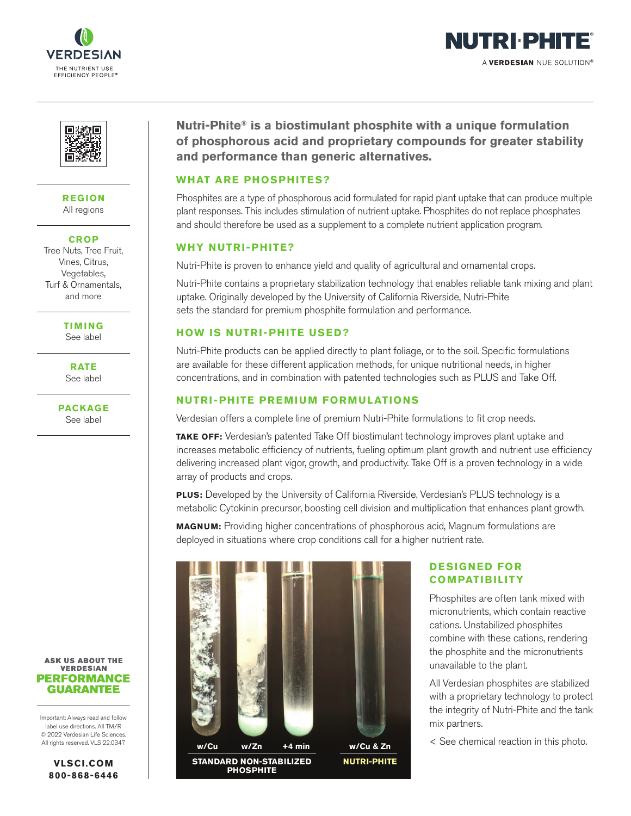





**REGION** All regions

**CROP**

Tree Nuts, Tree Fruit, Vines, Citrus, Vegetables, Turf & Ornamentals, and more

> **TIMING** See label

**RATE** See label



#### **ASK US ABOUT THE VERDESIAN PERFORMANCE GUARANTEE**

Important: Always read and follow label use directions. All TM/R © 2022 Verdesian Life Sciences. All rights reserved. VLS 22.0347

> **VLSCI.COM 800-868-6446**

**Nutri-Phite® is a biostimulant phosphite with a unique formulation of phosphorous acid and proprietary compounds for greater stability and performance than generic alternatives.**

## **WHAT ARE PHOSPHITES?**

Phosphites are a type of phosphorous acid formulated for rapid plant uptake that can produce multiple plant responses. This includes stimulation of nutrient uptake. Phosphites do not replace phosphates and should therefore be used as a supplement to a complete nutrient application program.

## **WHY NUTRI-PHITE?**

Nutri-Phite is proven to enhance yield and quality of agricultural and ornamental crops.

Nutri-Phite contains a proprietary stabilization technology that enables reliable tank mixing and plant uptake. Originally developed by the University of California Riverside, Nutri-Phite sets the standard for premium phosphite formulation and performance.

## **HOW IS NUTRI-PHITE USED?**

Nutri-Phite products can be applied directly to plant foliage, or to the soil. Specific formulations are available for these different application methods, for unique nutritional needs, in higher concentrations, and in combination with patented technologies such as PLUS and Take Off.

### **NUTRI-PHITE PREMIUM FORMULATIONS**

Verdesian offers a complete line of premium Nutri-Phite formulations to fit crop needs.

**TAKE OFF:** Verdesian's patented Take Off biostimulant technology improves plant uptake and increases metabolic efficiency of nutrients, fueling optimum plant growth and nutrient use efficiency delivering increased plant vigor, growth, and productivity. Take Off is a proven technology in a wide array of products and crops.

**PLUS:** Developed by the University of California Riverside, Verdesian's PLUS technology is a metabolic Cytokinin precursor, boosting cell division and multiplication that enhances plant growth.

**MAGNUM:** Providing higher concentrations of phosphorous acid, Magnum formulations are deployed in situations where crop conditions call for a higher nutrient rate.



# **DESIGNED FOR COMPATIBILITY**

Phosphites are often tank mixed with micronutrients, which contain reactive cations. Unstabilized phosphites combine with these cations, rendering the phosphite and the micronutrients unavailable to the plant.

All Verdesian phosphites are stabilized with a proprietary technology to protect the integrity of Nutri-Phite and the tank mix partners.